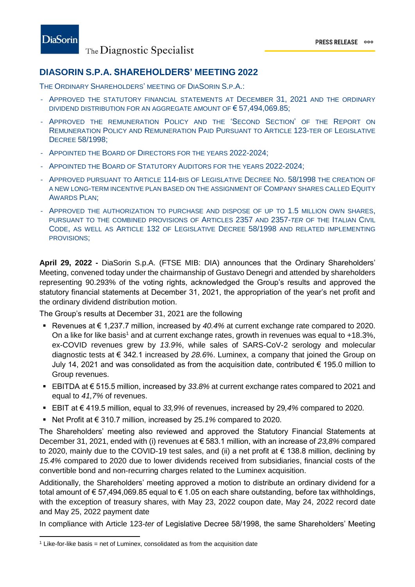## **DIASORIN S.P.A. SHAREHOLDERS' MEETING 2022**

THE ORDINARY SHAREHOLDERS' MEETING OF DIASORIN S.P.A.:

- APPROVED THE STATUTORY FINANCIAL STATEMENTS AT DECEMBER 31, 2021 AND THE ORDINARY DIVIDEND DISTRIBUTION FOR AN AGGREGATE AMOUNT OF  $\epsilon$  57,494,069.85;
- APPROVED THE REMUNERATION POLICY AND THE 'SECOND SECTION' OF THE REPORT ON REMUNERATION POLICY AND REMUNERATION PAID PURSUANT TO ARTICLE 123-TER OF LEGISLATIVE DECREE 58/1998;
- APPOINTED THE BOARD OF DIRECTORS FOR THE YEARS 2022-2024;
- APPOINTED THE BOARD OF STATUTORY AUDITORS FOR THE YEARS 2022-2024;
- APPROVED PURSUANT TO ARTICLE 114-BIS OF LEGISLATIVE DECREE NO. 58/1998 THE CREATION OF A NEW LONG-TERM INCENTIVE PLAN BASED ON THE ASSIGNMENT OF COMPANY SHARES CALLED EQUITY AWARDS PLAN;
- APPROVED THE AUTHORIZATION TO PURCHASE AND DISPOSE OF UP TO 1.5 MILLION OWN SHARES. PURSUANT TO THE COMBINED PROVISIONS OF ARTICLES 2357 AND 2357-*TER* OF THE ITALIAN CIVIL CODE, AS WELL AS ARTICLE 132 OF LEGISLATIVE DECREE 58/1998 AND RELATED IMPLEMENTING PROVISIONS;

**April 29, 2022 -** DiaSorin S.p.A. (FTSE MIB: DIA) announces that the Ordinary Shareholders' Meeting, convened today under the chairmanship of Gustavo Denegri and attended by shareholders representing 90.293% of the voting rights, acknowledged the Group's results and approved the statutory financial statements at December 31, 2021, the appropriation of the year's net profit and the ordinary dividend distribution motion.

The Group's results at December 31, 2021 are the following

- Revenues at  $€ 1,237.7$  million, increased by  $40.4\%$  at current exchange rate compared to 2020. On a like for like basis<sup>1</sup> and at current exchange rates, growth in revenues was equal to +18.3%, ex-COVID revenues grew by *13.9%*, while sales of SARS-CoV-2 serology and molecular diagnostic tests at € 342.1 increased by *28.6%*. Luminex, a company that joined the Group on July 14, 2021 and was consolidated as from the acquisition date, contributed  $\epsilon$  195.0 million to Group revenues.
- EBITDA at € 515.5 million, increased by *33.8%* at current exchange rates compared to 2021 and equal to *41,7%* of revenues.
- EBIT at € 419.5 million, equal to *33,9%* of revenues, increased by 29*,4%* compared to 2020.
- Net Profit at € 310.7 million, increased by 25.1% compared to 2020.

The Shareholders' meeting also reviewed and approved the Statutory Financial Statements at December 31, 2021, ended with (i) revenues at € 583.1 million, with an increase of *23,8%* compared to 2020, mainly due to the COVID-19 test sales, and (ii) a net profit at € 138.8 million, declining by *15.4%* compared to 2020 due to lower dividends received from subsidiaries, financial costs of the convertible bond and non-recurring charges related to the Luminex acquisition.

Additionally, the Shareholders' meeting approved a motion to distribute an ordinary dividend for a total amount of € 57,494,069.85 equal to € 1.05 on each share outstanding, before tax withholdings, with the exception of treasury shares, with May 23, 2022 coupon date, May 24, 2022 record date and May 25, 2022 payment date

In compliance with Article 123-*ter* of Legislative Decree 58/1998, the same Shareholders' Meeting

 $\overline{\phantom{a}}$ 

 $1$  Like-for-like basis = net of Luminex, consolidated as from the acquisition date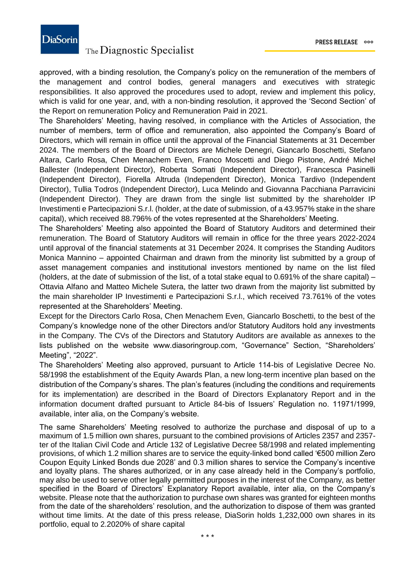PRESS RELEASE 000

# **DiaSorin**

## The Diagnostic Specialist

approved, with a binding resolution, the Company's policy on the remuneration of the members of the management and control bodies, general managers and executives with strategic responsibilities. It also approved the procedures used to adopt, review and implement this policy, which is valid for one year, and, with a non-binding resolution, it approved the 'Second Section' of the Report on remuneration Policy and Remuneration Paid in 2021.

The Shareholders' Meeting, having resolved, in compliance with the Articles of Association, the number of members, term of office and remuneration, also appointed the Company's Board of Directors, which will remain in office until the approval of the Financial Statements at 31 December 2024. The members of the Board of Directors are Michele Denegri, Giancarlo Boschetti, Stefano Altara, Carlo Rosa, Chen Menachem Even, Franco Moscetti and Diego Pistone, André Michel Ballester (Independent Director), Roberta Somati (Independent Director), Francesca Pasinelli (Independent Director), Fiorella Altruda (Independent Director), Monica Tardivo (Independent Director), Tullia Todros (Independent Director), Luca Melindo and Giovanna Pacchiana Parravicini (Independent Director). They are drawn from the single list submitted by the shareholder IP Investimenti e Partecipazioni S.r.l. (holder, at the date of submission, of a 43.957% stake in the share capital), which received 88.796% of the votes represented at the Shareholders' Meeting.

The Shareholders' Meeting also appointed the Board of Statutory Auditors and determined their remuneration. The Board of Statutory Auditors will remain in office for the three years 2022-2024 until approval of the financial statements at 31 December 2024. It comprises the Standing Auditors Monica Mannino – appointed Chairman and drawn from the minority list submitted by a group of asset management companies and institutional investors mentioned by name on the list filed (holders, at the date of submission of the list, of a total stake equal to 0.691% of the share capital) – Ottavia Alfano and Matteo Michele Sutera, the latter two drawn from the majority list submitted by the main shareholder IP Investimenti e Partecipazioni S.r.l., which received 73.761% of the votes represented at the Shareholders' Meeting.

Except for the Directors Carlo Rosa, Chen Menachem Even, Giancarlo Boschetti, to the best of the Company's knowledge none of the other Directors and/or Statutory Auditors hold any investments in the Company. The CVs of the Directors and Statutory Auditors are available as annexes to the lists published on the website www.diasoringroup.com, "Governance" Section, "Shareholders' Meeting", "2022".

The Shareholders' Meeting also approved, pursuant to Article 114-bis of Legislative Decree No. 58/1998 the establishment of the Equity Awards Plan, a new long-term incentive plan based on the distribution of the Company's shares. The plan's features (including the conditions and requirements for its implementation) are described in the Board of Directors Explanatory Report and in the information document drafted pursuant to Article 84-bis of Issuers' Regulation no. 11971/1999, available, inter alia, on the Company's website.

The same Shareholders' Meeting resolved to authorize the purchase and disposal of up to a maximum of 1.5 million own shares, pursuant to the combined provisions of Articles 2357 and 2357 ter of the Italian Civil Code and Article 132 of Legislative Decree 58/1998 and related implementing provisions, of which 1.2 million shares are to service the equity-linked bond called '€500 million Zero Coupon Equity Linked Bonds due 2028' and 0.3 million shares to service the Company's incentive and loyalty plans. The shares authorized, or in any case already held in the Company's portfolio, may also be used to serve other legally permitted purposes in the interest of the Company, as better specified in the Board of Directors' Explanatory Report available, inter alia, on the Company's website. Please note that the authorization to purchase own shares was granted for eighteen months from the date of the shareholders' resolution, and the authorization to dispose of them was granted without time limits. At the date of this press release, DiaSorin holds 1,232,000 own shares in its portfolio, equal to 2.2020% of share capital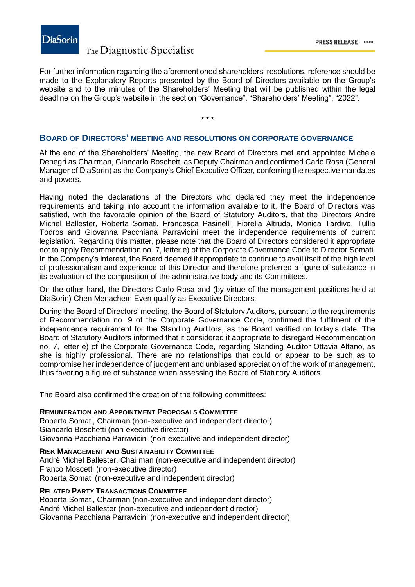

### The Diagnostic Specialist

For further information regarding the aforementioned shareholders' resolutions, reference should be made to the Explanatory Reports presented by the Board of Directors available on the Group's website and to the minutes of the Shareholders' Meeting that will be published within the legal deadline on the Group's website in the section "Governance", "Shareholders' Meeting", "2022".

\* \* \*

### **BOARD OF DIRECTORS' MEETING AND RESOLUTIONS ON CORPORATE GOVERNANCE**

At the end of the Shareholders' Meeting, the new Board of Directors met and appointed Michele Denegri as Chairman, Giancarlo Boschetti as Deputy Chairman and confirmed Carlo Rosa (General Manager of DiaSorin) as the Company's Chief Executive Officer, conferring the respective mandates and powers.

Having noted the declarations of the Directors who declared they meet the independence requirements and taking into account the information available to it, the Board of Directors was satisfied, with the favorable opinion of the Board of Statutory Auditors, that the Directors André Michel Ballester, Roberta Somati, Francesca Pasinelli, Fiorella Altruda, Monica Tardivo, Tullia Todros and Giovanna Pacchiana Parravicini meet the independence requirements of current legislation. Regarding this matter, please note that the Board of Directors considered it appropriate not to apply Recommendation no. 7, letter e) of the Corporate Governance Code to Director Somati. In the Company's interest, the Board deemed it appropriate to continue to avail itself of the high level of professionalism and experience of this Director and therefore preferred a figure of substance in its evaluation of the composition of the administrative body and its Committees.

On the other hand, the Directors Carlo Rosa and (by virtue of the management positions held at DiaSorin) Chen Menachem Even qualify as Executive Directors.

During the Board of Directors' meeting, the Board of Statutory Auditors, pursuant to the requirements of Recommendation no. 9 of the Corporate Governance Code, confirmed the fulfilment of the independence requirement for the Standing Auditors, as the Board verified on today's date. The Board of Statutory Auditors informed that it considered it appropriate to disregard Recommendation no. 7, letter e) of the Corporate Governance Code, regarding Standing Auditor Ottavia Alfano, as she is highly professional. There are no relationships that could or appear to be such as to compromise her independence of judgement and unbiased appreciation of the work of management, thus favoring a figure of substance when assessing the Board of Statutory Auditors.

The Board also confirmed the creation of the following committees:

### **REMUNERATION AND APPOINTMENT PROPOSALS COMMITTEE**

Roberta Somati, Chairman (non-executive and independent director) Giancarlo Boschetti (non-executive director) Giovanna Pacchiana Parravicini (non-executive and independent director)

**RISK MANAGEMENT AND SUSTAINABILITY COMMITTEE** André Michel Ballester, Chairman (non-executive and independent director) Franco Moscetti (non-executive director) Roberta Somati (non-executive and independent director)

### **RELATED PARTY TRANSACTIONS COMMITTEE**

Roberta Somati, Chairman (non-executive and independent director) André Michel Ballester (non-executive and independent director) Giovanna Pacchiana Parravicini (non-executive and independent director)